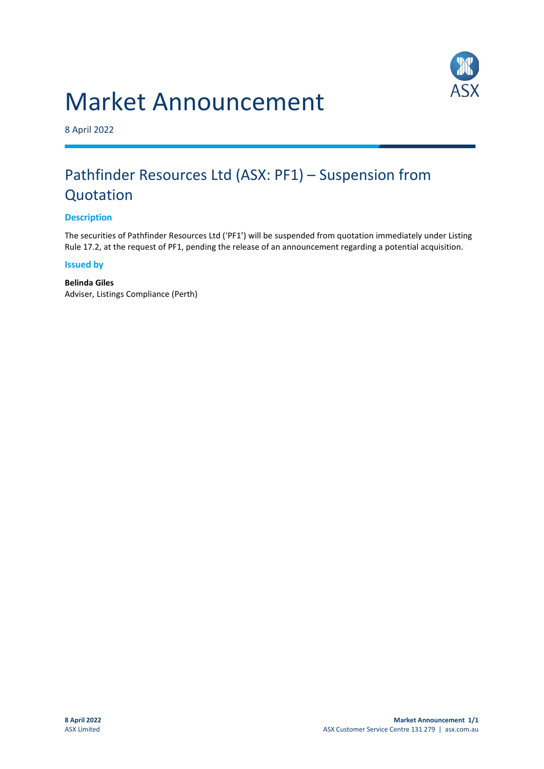# Market Announcement



8 April 2022

## Pathfinder Resources Ltd (ASX: PF1) – Suspension from **Quotation**

#### **Description**

The securities of Pathfinder Resources Ltd ('PF1') will be suspended from quotation immediately under Listing Rule 17.2, at the request of PF1, pending the release of an announcement regarding a potential acquisition.

#### **Issued by**

**Belinda Giles**  Adviser, Listings Compliance (Perth)